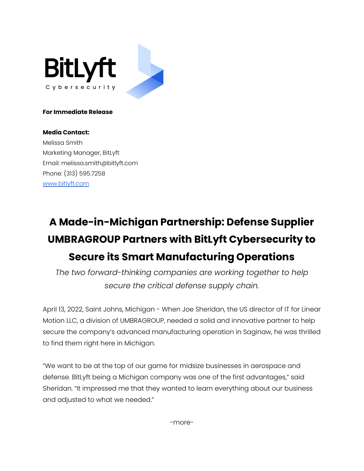

### **For Immediate Release**

## **Media Contact:**

Melissa Smith Marketing Manager, BitLyft Email: melissa.smith@bitlyft.com Phone: (313) 595.7258 [www.bitlyft.com](http://www.bitlyft.com)

# **A Made-in-Michigan Partnership: Defense Supplier UMBRAGROUP Partners with BitLyft Cybersecurity to Secure its Smart Manufacturing Operations**

*The two forward-thinking companies are working together to help secure the critical defense supply chain.*

April 13, 2022, Saint Johns, Michigan - When Joe Sheridan, the US director of IT for Linear Motion LLC, a division of UMBRAGROUP, needed a solid and innovative partner to help secure the company's advanced manufacturing operation in Saginaw, he was thrilled to find them right here in Michigan.

"We want to be at the top of our game for midsize businesses in aerospace and defense. BitLyft being a Michigan company was one of the first advantages," said Sheridan. "It impressed me that they wanted to learn everything about our business and adjusted to what we needed."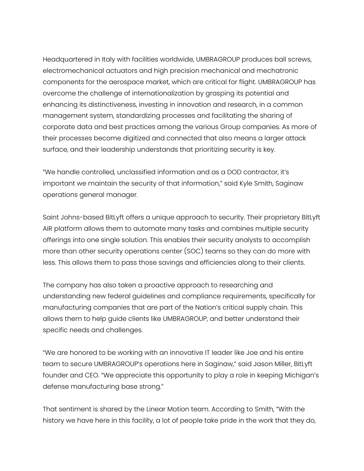Headquartered in Italy with facilities worldwide, UMBRAGROUP produces ball screws, electromechanical actuators and high precision mechanical and mechatronic components for the aerospace market, which are critical for flight. UMBRAGROUP has overcome the challenge of internationalization by grasping its potential and enhancing its distinctiveness, investing in innovation and research, in a common management system, standardizing processes and facilitating the sharing of corporate data and best practices among the various Group companies. As more of their processes become digitized and connected that also means a larger attack surface, and their leadership understands that prioritizing security is key.

"We handle controlled, unclassified information and as a DOD contractor, it's important we maintain the security of that information," said Kyle Smith, Saginaw operations general manager.

Saint Johns-based BitLyft offers a unique approach to security. Their proprietary BitLyft AIR platform allows them to automate many tasks and combines multiple security offerings into one single solution. This enables their security analysts to accomplish more than other security operations center (SOC) teams so they can do more with less. This allows them to pass those savings and efficiencies along to their clients.

The company has also taken a proactive approach to researching and understanding new federal guidelines and compliance requirements, specifically for manufacturing companies that are part of the Nation's critical supply chain. This allows them to help guide clients like UMBRAGROUP, and better understand their specific needs and challenges.

"We are honored to be working with an innovative IT leader like Joe and his entire team to secure UMBRAGROUP's operations here in Saginaw," said Jason Miller, BitLyft founder and CEO. "We appreciate this opportunity to play a role in keeping Michigan's defense manufacturing base strong."

That sentiment is shared by the Linear Motion team. According to Smith, "With the history we have here in this facility, a lot of people take pride in the work that they do,